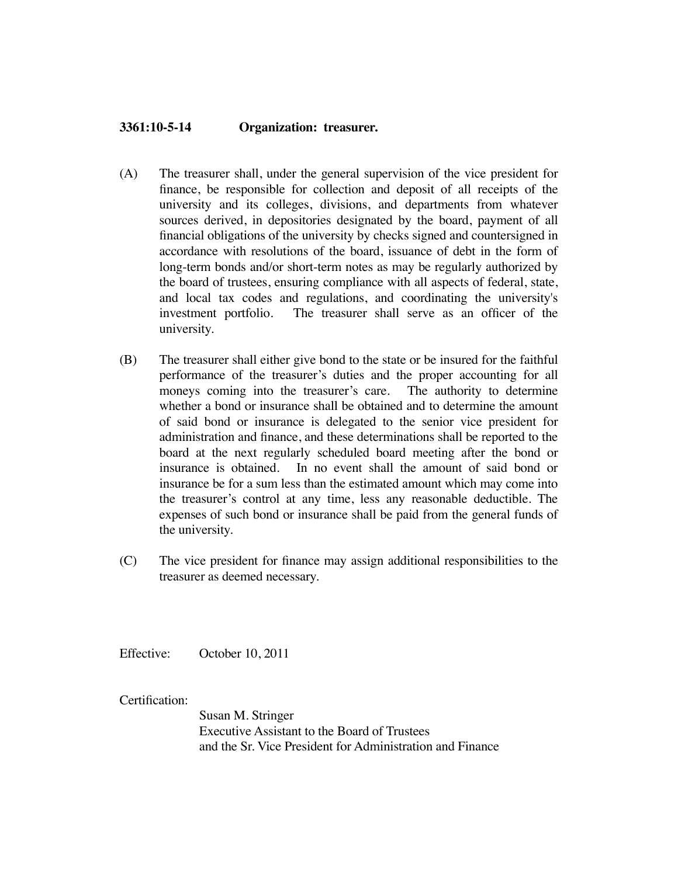## **3361:10-5-14 Organization: treasurer.**

- (A) The treasurer shall, under the general supervision of the vice president for finance, be responsible for collection and deposit of all receipts of the university and its colleges, divisions, and departments from whatever sources derived, in depositories designated by the board, payment of all financial obligations of the university by checks signed and countersigned in accordance with resolutions of the board, issuance of debt in the form of long-term bonds and/or short-term notes as may be regularly authorized by the board of trustees, ensuring compliance with all aspects of federal, state, and local tax codes and regulations, and coordinating the university's investment portfolio. The treasurer shall serve as an officer of the university.
- (B) The treasurer shall either give bond to the state or be insured for the faithful performance of the treasurer's duties and the proper accounting for all moneys coming into the treasurer's care. The authority to determine whether a bond or insurance shall be obtained and to determine the amount of said bond or insurance is delegated to the senior vice president for administration and finance, and these determinations shall be reported to the board at the next regularly scheduled board meeting after the bond or insurance is obtained. In no event shall the amount of said bond or insurance be for a sum less than the estimated amount which may come into the treasurer's control at any time, less any reasonable deductible. The expenses of such bond or insurance shall be paid from the general funds of the university.
- (C) The vice president for finance may assign additional responsibilities to the treasurer as deemed necessary.

Effective: October 10, 2011

Certification:

Susan M. Stringer Executive Assistant to the Board of Trustees and the Sr. Vice President for Administration and Finance